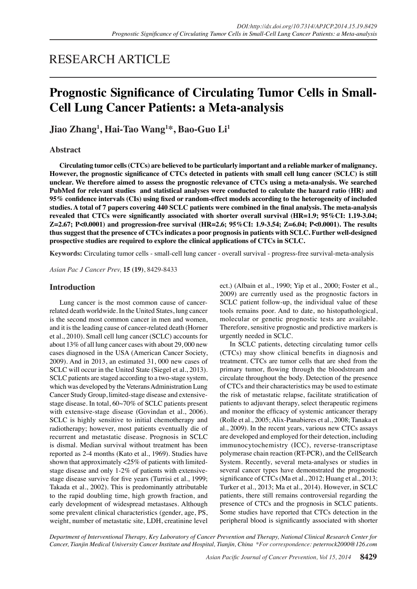# RESEARCH ARTICLE

# **Prognostic Significance of Circulating Tumor Cells in Small-Cell Lung Cancer Patients: a Meta-analysis**

**Jiao Zhang1 , Hai-Tao Wang1 \*, Bao-Guo Li<sup>1</sup>**

# **Abstract**

**Circulating tumor cells (CTCs) are believed to be particularly important and a reliable marker of malignancy. However, the prognostic significance of CTCs detected in patients with small cell lung cancer (SCLC) is still unclear. We therefore aimed to assess the prognostic relevance of CTCs using a meta-analysis. We searched PubMed for relevant studies and statistical analyses were conducted to calculate the hazard ratio (HR) and 95% confidence intervals (CIs) using fixed or random-effect models according to the heterogeneity of included studies. A total of 7 papers covering 440 SCLC patients were combined in the final analysis. The meta-analysis revealed that CTCs were significantly associated with shorter overall survival (HR=1.9; 95%CI: 1.19-3.04; Z=2.67; P<0.0001) and progression-free survival (HR=2.6; 95%CI: 1.9-3.54; Z=6.04; P<0.0001). The results thus suggest that the presence of CTCs indicates a poor prognosis in patients with SCLC. Further well-designed prospective studies are required to explore the clinical applications of CTCs in SCLC.**

**Keywords:** Circulating tumor cells - small-cell lung cancer - overall survival - progress-free survival-meta-analysis

*Asian Pac J Cancer Prev,* **15 (19)**, 8429-8433

# **Introduction**

Lung cancer is the most common cause of cancerrelated death worldwide. In the United States, lung cancer is the second most common cancer in men and women, and it is the leading cause of cancer-related death (Horner et al., 2010). Small cell lung cancer (SCLC) accounts for about 13% of all lung cancer cases with about 29, 000 new cases diagnosed in the USA (American Cancer Society, 2009). And in 2013, an estimated 31, 000 new cases of SCLC will occur in the United State (Siegel et al., 2013). SCLC patients are staged according to a two-stage system, which was developed by the Veterans Administration Lung Cancer Study Group, limited-stage disease and extensivestage disease. In total, 60~70% of SCLC patients present with extensive-stage disease (Govindan et al., 2006). SCLC is highly sensitive to initial chemotherapy and radiotherapy; however, most patients eventually die of recurrent and metastatic disease. Prognosis in SCLC is dismal. Median survival without treatment has been reported as 2-4 months (Kato et al., 1969). Studies have shown that approximately <25% of patients with limitedstage disease and only 1-2% of patients with extensivestage disease survive for five years (Turrisi et al., 1999; Takada et al., 2002). This is predominantly attributable to the rapid doubling time, high growth fraction, and early development of widespread metastases. Although some prevalent clinical characteristics (gender, age, PS, weight, number of metastatic site, LDH, creatinine level ect.) (Albain et al., 1990; Yip et al., 2000; Foster et al., 2009) are currently used as the prognostic factors in SCLC patient follow-up, the individual value of these tools remains poor. And to date, no histopathological, molecular or genetic prognostic tests are available. Therefore, sensitive prognostic and predictive markers is urgently needed in SCLC.

In SCLC patients, detecting circulating tumor cells (CTCs) may show clinical benefits in diagnosis and treatment. CTCs are tumor cells that are shed from the primary tumor, flowing through the bloodstream and circulate throughout the body. Detection of the presence of CTCs and their characteristics may be used to estimate the risk of metastatic relapse, facilitate stratification of patients to adjuvant therapy, select therapeutic regimens and monitor the efficacy of systemic anticancer therapy (Rolle et al., 2005; Alix-Panabieres et al., 2008; Tanaka et al., 2009). In the recent years, various new CTCs assays are developed and employed for their detection, including immunocytochemistry (ICC), reverse-transcriptase polymerase chain reaction (RT-PCR), and the CellSearch System. Recently, several meta-analyses or studies in several cancer types have demonstrated the prognostic significance of CTCs (Ma et al., 2012; Huang et al., 2013; Turker et al., 2013; Ma et al., 2014). However, in SCLC patients, there still remains controversial regarding the presence of CTCs and the prognosis in SCLC patients. Some studies have reported that CTCs detection in the peripheral blood is significantly associated with shorter

*Department of Interventional Therapy, Key Laboratory of Cancer Prevention and Therapy, National Clinical Research Center for Cancer, Tianjin Medical University Cancer Institute and Hospital, Tianjin, China \*For correspondence: peterrock2000@126.com*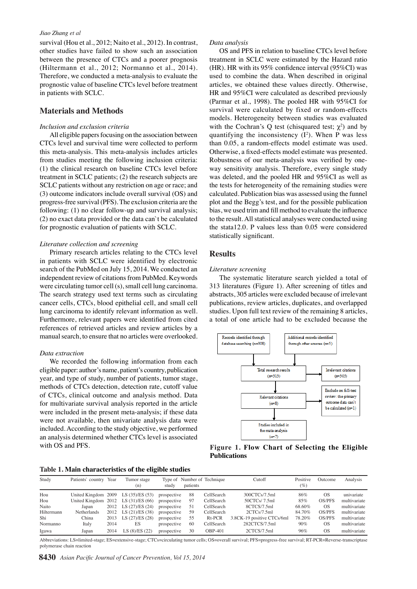#### *Jiao Zhang et al*

survival (Hou et al., 2012; Naito et al., 2012). In contrast, other studies have failed to show such an association between the presence of CTCs and a poorer prognosis (Hiltermann et al., 2012; Normanno et al., 2014). Therefore, we conducted a meta-analysis to evaluate the prognostic value of baseline CTCs level before treatment in patients with SCLC.

# **Materials and Methods**

### *Inclusion and exclusion criteria*

All eligible papers focusing on the association between CTCs level and survival time were collected to perform this meta-analysis. This meta-analysis includes articles from studies meeting the following inclusion criteria: (1) the clinical research on baseline CTCs level before treatment in SCLC patients; (2) the research subjects are SCLC patients without any restriction on age or race; and (3) outcome indicators include overall survival (OS) and progress-free survival (PFS). The exclusion criteria are the following: (1) no clear follow-up and survival analysis; (2) no exact data provided or the data can`t be calculated for prognostic evaluation of patients with SCLC.

#### *Literature collection and screening*

Primary research articles relating to the CTCs level in patients with SCLC were identified by electronic search of the PubMed on July 15, 2014. We conducted an independent review of citations from PubMed. Keywords were circulating tumor cell (s), small cell lung carcinoma. The search strategy used text terms such as circulating cancer cells, CTCs, blood epithelial cell, and small cell lung carcinoma to identify relevant information as well. Furthermore, relevant papers were identified from cited references of retrieved articles and review articles by a manual search, to ensure that no articles were overlooked.

#### *Data extraction*

We recorded the following information from each eligible paper: author's name, patient's country, publication year, and type of study, number of patients, tumor stage, methods of CTCs detection, detection rate, cutoff value of CTCs, clinical outcome and analysis method. Data for multivariate survival analysis reported in the article were included in the present meta-analysis; if these data were not available, then univariate analysis data were included. According to the study objective, we performed an analysis determined whether CTCs level is associated with OS and PFS.

|  | Table 1. Main characteristics of the eligible studies |  |  |
|--|-------------------------------------------------------|--|--|
|  |                                                       |  |  |

| Study      | Patients' country Year |      | Tumor stage<br>(n)                        | study       | patients | Type of Number of Technique | Cutoff                     | Positive<br>$(\%)$ | Outcome       | Analysis     |
|------------|------------------------|------|-------------------------------------------|-------------|----------|-----------------------------|----------------------------|--------------------|---------------|--------------|
| Hou        |                        |      | United Kingdom $2009$ LS $(35)/ES$ $(53)$ | prospective | 88       | CellSearch                  | 300CTCs/7.5ml              | 86%                | OS            | univariate   |
| Hou        |                        |      | United Kingdom $2012$ LS $(31)/ES(66)$    | prospective | 97       | CellSearch                  | 50CTCs/7.5ml               | 85%                | <b>OS/PFS</b> | multivariate |
| Naito      | Japan                  |      | 2012 LS (27)/ES (24)                      | prospective | -51      | CellSearch                  | 8CTCS/7.5ml                | 68.60%             | OS            | multivariate |
| Hiltermann | Netherlands            |      | 2012 LS (21)/ES (38)                      | prospective | -59      | CellSearch                  | 2CTCs/7.5ml                | 84.70%             | OS/PFS        | multivariate |
| Shi        | China                  |      | 2013 LS (27)/ES (28)                      | prospective | 55       | Rt-PCR                      | 3.8CK-19 positive CTCs/6ml | 78.20%             | OS/PFS        | multivariate |
| Normanno   | Italy                  | 2014 | ES                                        | prospective | 60       | CellSearch                  | 282CTCS/7.5ml              | 90%                | OS            | multivariate |
| Igawa      | Japan                  | 2014 | LS (8)/ES (22)                            | prospective | 30       | OBP-401                     | 2CTCS/7.5ml                | 96%                | OS            | multivariate |

Abbreviations: LS=limited-stage; ES=extensive-stage; CTCs=circulating tumor cells; OS=overall survival; PFS=progress-free survival; RT-PCR=Reverse-transcriptase polymerase chain reaction

#### *Data analysis*

OS and PFS in relation to baseline CTCs level before treatment in SCLC were estimated by the Hazard ratio (HR). HR with its 95% confidence interval (95%CI) was used to combine the data. When described in original articles, we obtained these values directly. Otherwise, HR and 95%CI were calculated as described previously (Parmar et al., 1998). The pooled HR with 95%CI for survival were calculated by fixed or random-effects models. Heterogeneity between studies was evaluated with the Cochran's Q test (chisquared test;  $\chi^2$ ) and by quantifying the inconsistency  $(I^2)$ . When P was less than 0.05, a random-effects model estimate was used. Otherwise, a fixed-effects model estimate was presented. Robustness of our meta-analysis was verified by oneway sensitivity analysis. Therefore, every single study was deleted, and the pooled HR and 95%CI as well as the tests for heterogeneity of the remaining studies were calculated. Publication bias was assessed using the funnel plot and the Begg's test, and for the possible publication bias, we used trim and fill method to evaluate the influence to the result. All statistical analyses were conducted using the stata12.0. P values less than 0.05 were considered statistically significant.

### **Results**

#### *Literature screening*

The systematic literature search yielded a total of 313 literatures (Figure 1). After screening of titles and abstracts, 305 articles were excluded because of irrelevant publications, review articles, duplicates, and overlapped studies. Upon full text review of the remaining 8 articles, a total of one article had to be excluded because the



**Figure 1. Flow Chart of Selecting the Eligible Publications**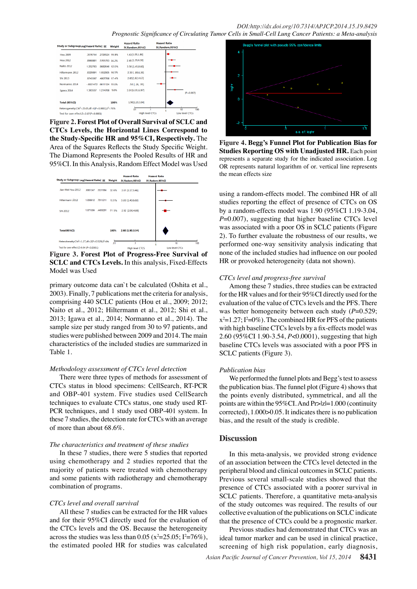|                                       | <b>Study or SubgroupLog[Hazard Ratio] SE</b>                                   | Weight         | <b>Hazard Ratio</b><br>IV, Random, 95%CI | <b>Hazard Ratio</b><br>IV.Random.95%CI |
|---------------------------------------|--------------------------------------------------------------------------------|----------------|------------------------------------------|----------------------------------------|
| <b>Hou 2009</b>                       | 3576744                                                                        | 2726524 19.8%  | 1.43 [1.09,1.86]                         | ÷                                      |
| <b>Hou 2012</b>                       | .8960881                                                                       | .5761793 16.2% | 2 45 [1.39,4.30]                         |                                        |
| <b>Naito 2012</b>                     | 1 252763                                                                       | 9082646 12.0%  | 3.50 [1.45,8.60]                         |                                        |
| Hiltermann 2012                       | 8329091                                                                        | 1.052905 10.5% | 2.30 [.80,6.30]                          |                                        |
| Shi 2013                              | 9745597                                                                        | 4807768 174%   | 2.65[1.82,4.67]                          |                                        |
| Normanno 2014                         | $-6931472$ 6611124 15.1%                                                       |                | .50 [ .26, .95]                          |                                        |
| Igawa 2014                            | 1.214768<br>1363537                                                            | 9.0%           | 3.91 1.19.12.87                          | $(P = 0.007)$                          |
| Total (95%CI)                         |                                                                                | 100%           | 1.90[1.19.3.04]                          |                                        |
|                                       | Heterogeneity:Chi <sup>2</sup> = 25.05.df = 6/P < 0.0001):1 <sup>2</sup> = 76% |                | 01                                       | 10<br>100                              |
| Test for over effect:Z=2.67(P<0.0001) |                                                                                |                | <b>High level CTCs</b>                   | Low level CTCs                         |

**Figure 2. Forest Plot of Overall Survival of SCLC and CTCs Levels, the Horizontal Lines Correspond to the Study-Specific HR and 95%CI, Respectively.** The Area of the Squares Reflects the Study Specific Weight. The Diamond Represents the Pooled Results of HR and 95%CI. In this Analysis, Random Effect Model was Used



**Figure 3. Forest Plot of Progress-Free Survival of SCLC and CTCs Levels.** In this analysis, Fixed-Effects Model was Used

primary outcome data can`t be calculated (Oshita et al., 2003). Finally, 7 publications met the criteria for analysis, comprising 440 SCLC patients (Hou et al., 2009; 2012; Naito et al., 2012; Hiltermann et al., 2012; Shi et al., 2013; Igawa et al., 2014; Normanno et al., 2014). The sample size per study ranged from 30 to 97 patients, and studies were published between 2009 and 2014. The main characteristics of the included studies are summarized in Table 1.

## *Methodology assessment of CTCs level detection*

There were three types of methods for assessment of CTCs status in blood specimens: CellSearch, RT-PCR and OBP-401 system. Five studies used CellSearch techniques to evaluate CTCs status, one study used RT-PCR techniques, and 1 study used OBP-401 system. In these 7 studies, the detection rate for CTCs with an average of more than about 68.6%.

#### *The characteristics and treatment of these studies*

In these 7 studies, there were 5 studies that reported using chemotherapy and 2 studies reported that the majority of patients were treated with chemotherapy and some patients with radiotherapy and chemotherapy combination of programs.

## *CTCs level and overall survival*

All these 7 studies can be extracted for the HR values and for their 95%CI directly used for the evaluation of the CTCs levels and the OS. Because the heterogeneity across the studies was less than 0.05 ( $x^2 = 25.05$ ;  $I^2 = 76\%$ ), the estimated pooled HR for studies was calculated



**Figure 4. Begg's Funnel Plot for Publication Bias for Studies Reporting OS with Unadjusted HR. Each point** represents a separate study for the indicated association. Log OR represents natural logarithm of or. vertical line represents the mean effects size

using a random-effects model. The combined HR of all studies reporting the effect of presence of CTCs on OS by a random-effects model was 1.90 (95%CI 1.19-3.04, *P*=0.007), suggesting that higher baseline CTCs level was associated with a poor OS in SCLC patients (Figure 2). To further evaluate the robustness of our results, we performed one-way sensitivity analysis indicating that none of the included studies had influence on our pooled HR or provoked heterogeneity (data not shown).

## *CTCs level and progress-free survival*

Among these 7 studies, three studies can be extracted for the HR values and for their 95%CI directly used for the evaluation of the value of CTCs levels and the PFS. There was better homogeneity between each study ( $P=0.529$ ;  $x^2=1.27$ ;  $I^2=0\%$ ). The combined HR for PFS of the patients with high baseline CTCs levels by a fix-effects model was 2.60 (95%CI 1.90-3.54, *P*<0.0001), suggesting that high baseline CTCs levels was associated with a poor PFS in SCLC patients (Figure 3).

#### *Publication bias*

We performed the funnel plots and Begg's test to assess the publication bias. The funnel plot (Figure 4) shows that the points evenly distributed, symmetrical, and all the points are within the 95%CI. And Pr>|z|=1.000 (continuity corrected), 1.000>0.05. It indicates there is no publication bias, and the result of the study is credible.

# **Discussion**

In this meta-analysis, we provided strong evidence of an association between the CTCs level detected in the peripheral blood and clinical outcomes in SCLC patients. Previous several small-scale studies showed that the presence of CTCs associated with a poorer survival in SCLC patients. Therefore, a quantitative meta-analysis of the study outcomes was required. The results of our collective evaluation of the publications on SCLC indicate that the presence of CTCs could be a prognostic marker.

Previous studies had demonstrated that CTCs was an ideal tumor marker and can be used in clinical practice, screening of high risk population, early diagnosis,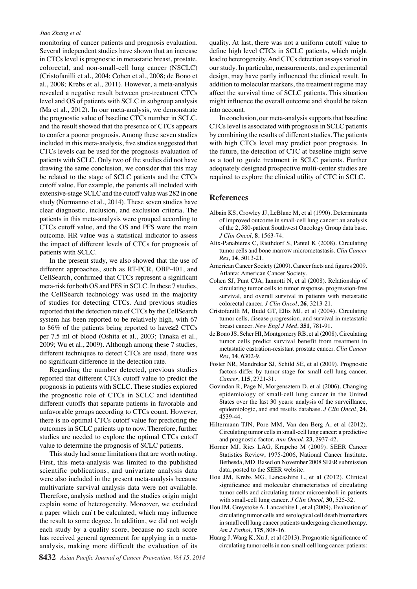### *Jiao Zhang et al*

monitoring of cancer patients and prognosis evaluation. Several independent studies have shown that an increase in CTCs level is prognostic in metastatic breast, prostate, colorectal, and non-small-cell lung cancer (NSCLC) (Cristofanilli et al., 2004; Cohen et al., 2008; de Bono et al., 2008; Krebs et al., 2011). However, a meta-analysis revealed a negative result between pre-treatment CTCs level and OS of patients with SCLC in subgroup analysis (Ma et al., 2012). In our meta-analysis, we demonstrate the prognostic value of baseline CTCs number in SCLC, and the result showed that the presence of CTCs appears to confer a poorer prognosis. Among these seven studies included in this meta-analysis, five studies suggested that CTCs levels can be used for the prognosis evaluation of patients with SCLC. Only two of the studies did not have drawing the same conclusion, we consider that this may be related to the stage of SCLC patients and the CTCs cutoff value. For example, the patients all included with extensive-stage SCLC and the cutoff value was 282 in one study (Normanno et al., 2014). These seven studies have clear diagnostic, inclusion, and exclusion criteria. The patients in this meta-analysis were grouped according to CTCs cutoff value, and the OS and PFS were the main outcome. HR value was a statistical indicator to assess the impact of different levels of CTCs for prognosis of patients with SCLC.

In the present study, we also showed that the use of different approaches, such as RT-PCR, OBP-401, and CellSearch, confirmed that CTCs represent a significant meta-risk for both OS and PFS in SCLC. In these 7 studies, the CellSearch technology was used in the majority of studies for detecting CTCs. And previous studies reported that the detection rate of CTCs by the CellSearch system has been reported to be relatively high, with 67 to 86% of the patients being reported to have≥2 CTCs per 7.5 ml of blood (Oshita et al., 2003; Tanaka et al., 2009; Wu et al., 2009). Although among these 7 studies, different techniques to detect CTCs are used, there was no significant difference in the detection rate.

Regarding the number detected, previous studies reported that different CTCs cutoff value to predict the prognosis in patients with SCLC. These studies explored the prognostic role of CTCs in SCLC and identified different cutoffs that separate patients in favorable and unfavorable groups according to CTCs count. However, there is no optimal CTCs cutoff value for predicting the outcomes in SCLC patients up to now. Therefore, further studies are needed to explore the optimal CTCs cutoff value to determine the prognosis of SCLC patients.

This study had some limitations that are worth noting. First, this meta-analysis was limited to the published scientific publications, and univariate analysis data were also included in the present meta-analysis because multivariate survival analysis data were not available. Therefore, analysis method and the studies origin might explain some of heterogeneity. Moreover, we excluded a paper which can`t be calculated, which may influence the result to some degree. In addition, we did not weigh each study by a quality score, because no such score has received general agreement for applying in a metaanalysis, making more difficult the evaluation of its

quality. At last, there was not a uniform cutoff value to define high level CTCs in SCLC patients, which might lead to heterogeneity. And CTCs detection assays varied in our study. In particular, measurements, and experimental design, may have partly influenced the clinical result. In addition to molecular markers, the treatment regime may affect the survival time of SCLC patients. This situation might influence the overall outcome and should be taken into account.

In conclusion, our meta-analysis supports that baseline CTCs level is associated with prognosis in SCLC patients by combining the results of different studies. The patients with high CTCs level may predict poor prognosis. In the future, the detection of CTC at baseline might serve as a tool to guide treatment in SCLC patients. Further adequately designed prospective multi-center studies are required to explore the clinical utility of CTC in SCLC.

## **References**

- Albain KS, Crowley JJ, LeBlanc M, et al (1990). Determinants of improved outcome in small-cell lung cancer: an analysis of the 2, 580-patient Southwest Oncology Group data base. *J Clin Oncol*, **8**, 1563-74.
- Alix-Panabieres C, Riethdorf S, Pantel K (2008). Circulating tumor cells and bone marrow micrometastasis. *Clin Cancer Res*, **14**, 5013-21.
- American Cancer Society (2009). Cancer facts and figures 2009. Atlanta: American Cancer Society.
- Cohen SJ, Punt CJA, Iannotti N, et al (2008). Relationship of circulating tumor cells to tumor response, progression-free survival, and overall survival in patients with metastatic colorectal cancer. *J Clin Oncol*, **26**, 3213-21.
- Cristofanilli M, Budd GT, Ellis MJ, et al (2004). Circulating tumor cells, disease progression, and survival in metastatic breast cancer. *New Engl J Med*, **351**, 781-91.
- de Bono JS, Scher HI, Montgomery RB, et al (2008). Circulating tumor cells predict survival benefit from treatment in metastatic castration-resistant prostate cancer. *Clin Cancer Res*, **14**, 6302-9.
- Foster NR, Mandrekar SJ, Schild SE, et al (2009). Prognostic factors differ by tumor stage for small cell lung cancer. *Cancer*, **115**, 2721-31.
- Govindan R, Page N, Morgensztern D, et al (2006). Changing epidemiology of small-cell lung cancer in the United States over the last 30 years: analysis of the surveillance, epidemiologic, and end results database. *J Clin Oncol*, **24**, 4539-44.
- Hiltermann TJN, Pore MM, Van den Berg A, et al (2012). Circulating tumor cells in small-cell lung cancer: a predictive and prognostic factor. *Ann Oncol*, **23**, 2937-42.
- Horner MJ, Ries LAG, Krapcho M (2009). SEER Cancer Statistics Review, 1975-2006, National Cancer Institute. Bethesda, MD. Based on November 2008 SEER submission data, posted to the SEER website.
- Hou JM, Krebs MG, Lancashire L, et al (2012). Clinical significance and molecular characteristics of circulating tumor cells and circulating tumor microemboli in patients with small-cell lung cancer. *J Clin Oncol*, **30**, 525-32.
- Hou JM, Greystoke A, Lancashire L, et al (2009). Evaluation of circulating tumor cells and serological cell death biomarkers in small cell lung cancer patients undergoing chemotherapy. *Am J Pathol*, **175**, 808-16.
- Huang J, Wang K, Xu J, et al (2013). Prognostic significance of circulating tumor cells in non-small-cell lung cancer patients: